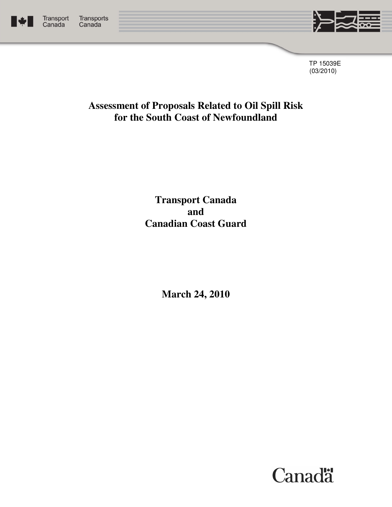



TP 15039E (03/2010)

## **Assessment of Proposals Related to Oil Spill Risk for the South Coast of Newfoundland**

**Transport Canada and Canadian Coast Guard** 

**March 24, 2010** 

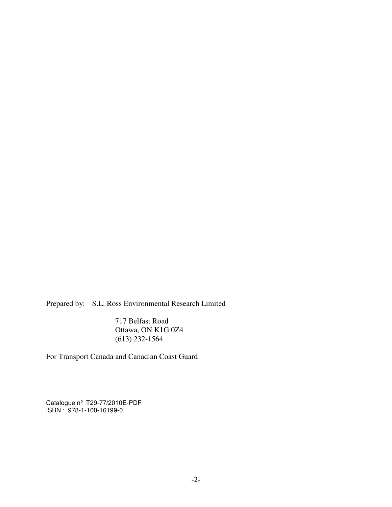Prepared by: S.L. Ross Environmental Research Limited

 717 Belfast Road Ottawa, ON K1G 0Z4 (613) 232-1564

For Transport Canada and Canadian Coast Guard

Catalogue nº T29-77/2010E-PDF ISBN : 978-1-100-16199-0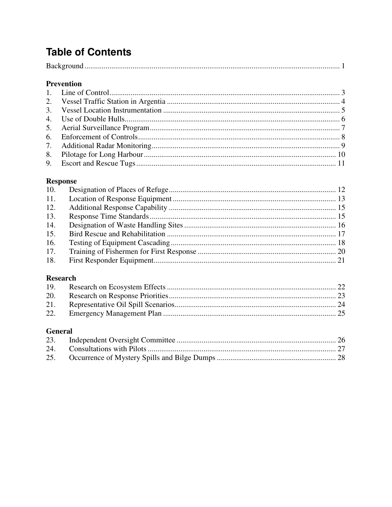# **Table of Contents**

## Prevention

## **Response**

| 11. |  |
|-----|--|
| 12. |  |
| 13. |  |
| 14. |  |
| 15. |  |
| 16. |  |
| 17. |  |
| 18. |  |
|     |  |

## **Research**

## **General**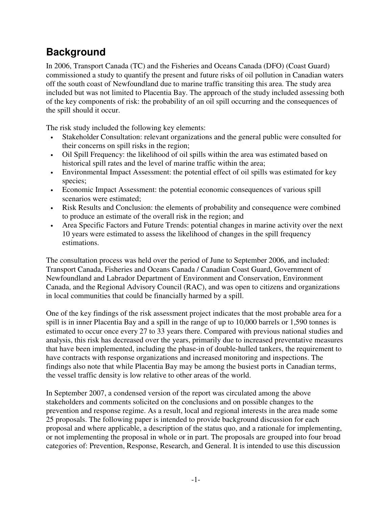# <span id="page-3-0"></span>**Background**

In 2006, Transport Canada (TC) and the Fisheries and Oceans Canada (DFO) (Coast Guard) commissioned a study to quantify the present and future risks of oil pollution in Canadian waters off the south coast of Newfoundland due to marine traffic transiting this area. The study area included but was not limited to Placentia Bay. The approach of the study included assessing both of the key components of risk: the probability of an oil spill occurring and the consequences of the spill should it occur.

The risk study included the following key elements:

- Stakeholder Consultation: relevant organizations and the general public were consulted for their concerns on spill risks in the region;
- Oil Spill Frequency: the likelihood of oil spills within the area was estimated based on historical spill rates and the level of marine traffic within the area;
- Environmental Impact Assessment: the potential effect of oil spills was estimated for key species;
- Economic Impact Assessment: the potential economic consequences of various spill scenarios were estimated;
- Risk Results and Conclusion: the elements of probability and consequence were combined to produce an estimate of the overall risk in the region; and
- Area Specific Factors and Future Trends: potential changes in marine activity over the next 10 years were estimated to assess the likelihood of changes in the spill frequency estimations.

The consultation process was held over the period of June to September 2006, and included: Transport Canada, Fisheries and Oceans Canada / Canadian Coast Guard, Government of Newfoundland and Labrador Department of Environment and Conservation, Environment Canada, and the Regional Advisory Council (RAC), and was open to citizens and organizations in local communities that could be financially harmed by a spill.

One of the key findings of the risk assessment project indicates that the most probable area for a spill is in inner Placentia Bay and a spill in the range of up to 10,000 barrels or 1,590 tonnes is estimated to occur once every 27 to 33 years there. Compared with previous national studies and analysis, this risk has decreased over the years, primarily due to increased preventative measures that have been implemented, including the phase-in of double-hulled tankers, the requirement to have contracts with response organizations and increased monitoring and inspections. The findings also note that while Placentia Bay may be among the busiest ports in Canadian terms, the vessel traffic density is low relative to other areas of the world.

In September 2007, a condensed version of the report was circulated among the above stakeholders and comments solicited on the conclusions and on possible changes to the prevention and response regime. As a result, local and regional interests in the area made some 25 proposals. The following paper is intended to provide background discussion for each proposal and where applicable, a description of the status quo, and a rationale for implementing, or not implementing the proposal in whole or in part. The proposals are grouped into four broad categories of: Prevention, Response, Research, and General. It is intended to use this discussion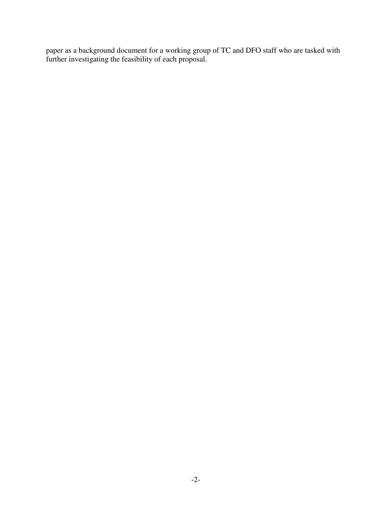paper as a background document for a working group of TC and DFO staff who are tasked with further investigating the feasibility of each proposal.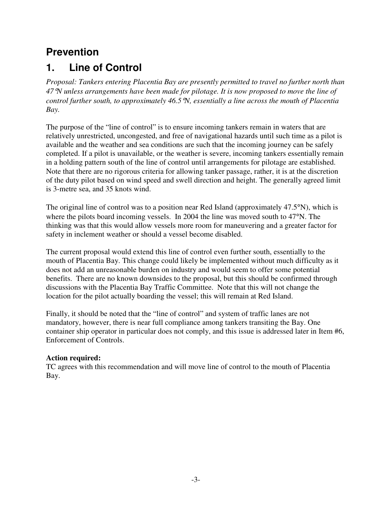# <span id="page-5-0"></span>**Prevention**

# **1. Line of Control**

*Proposal: Tankers entering Placentia Bay are presently permitted to travel no further north than 47*°*N unless arrangements have been made for pilotage. It is now proposed to move the line of control further south, to approximately 46.5*°*N, essentially a line across the mouth of Placentia Bay.* 

The purpose of the "line of control" is to ensure incoming tankers remain in waters that are relatively unrestricted, uncongested, and free of navigational hazards until such time as a pilot is available and the weather and sea conditions are such that the incoming journey can be safely completed. If a pilot is unavailable, or the weather is severe, incoming tankers essentially remain in a holding pattern south of the line of control until arrangements for pilotage are established. Note that there are no rigorous criteria for allowing tanker passage, rather, it is at the discretion of the duty pilot based on wind speed and swell direction and height. The generally agreed limit is 3-metre sea, and 35 knots wind.

The original line of control was to a position near Red Island (approximately 47.5°N), which is where the pilots board incoming vessels. In 2004 the line was moved south to 47<sup>o</sup>N. The thinking was that this would allow vessels more room for maneuvering and a greater factor for safety in inclement weather or should a vessel become disabled.

The current proposal would extend this line of control even further south, essentially to the mouth of Placentia Bay. This change could likely be implemented without much difficulty as it does not add an unreasonable burden on industry and would seem to offer some potential benefits. There are no known downsides to the proposal, but this should be confirmed through discussions with the Placentia Bay Traffic Committee. Note that this will not change the location for the pilot actually boarding the vessel; this will remain at Red Island.

Finally, it should be noted that the "line of control" and system of traffic lanes are not mandatory, however, there is near full compliance among tankers transiting the Bay. One container ship operator in particular does not comply, and this issue is addressed later in Item #6, Enforcement of Controls.

## **Action required:**

TC agrees with this recommendation and will move line of control to the mouth of Placentia Bay.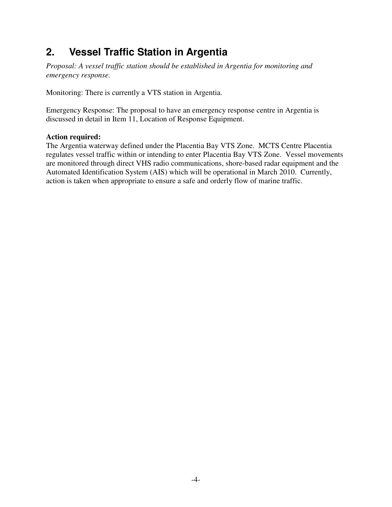# <span id="page-6-0"></span>**2. Vessel Traffic Station in Argentia**

*Proposal: A vessel traffic station should be established in Argentia for monitoring and emergency response.* 

Monitoring: There is currently a VTS station in Argentia.

Emergency Response: The proposal to have an emergency response centre in Argentia is discussed in detail in Item 11, Location of Response Equipment.

#### **Action required:**

The Argentia waterway defined under the Placentia Bay VTS Zone. MCTS Centre Placentia regulates vessel traffic within or intending to enter Placentia Bay VTS Zone. Vessel movements are monitored through direct VHS radio communications, shore-based radar equipment and the Automated Identification System (AIS) which will be operational in March 2010. Currently, action is taken when appropriate to ensure a safe and orderly flow of marine traffic.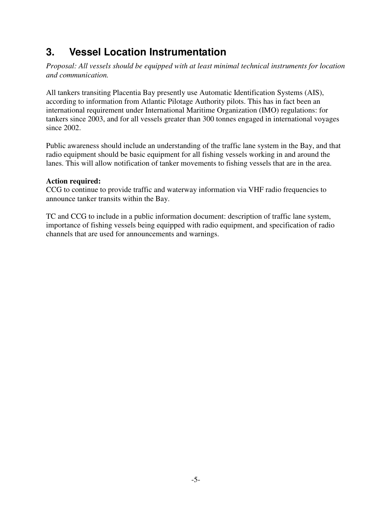# <span id="page-7-0"></span>**3. Vessel Location Instrumentation**

*Proposal: All vessels should be equipped with at least minimal technical instruments for location and communication.* 

All tankers transiting Placentia Bay presently use Automatic Identification Systems (AIS), according to information from Atlantic Pilotage Authority pilots. This has in fact been an international requirement under International Maritime Organization (IMO) regulations: for tankers since 2003, and for all vessels greater than 300 tonnes engaged in international voyages since 2002.

Public awareness should include an understanding of the traffic lane system in the Bay, and that radio equipment should be basic equipment for all fishing vessels working in and around the lanes. This will allow notification of tanker movements to fishing vessels that are in the area.

## **Action required:**

CCG to continue to provide traffic and waterway information via VHF radio frequencies to announce tanker transits within the Bay.

TC and CCG to include in a public information document: description of traffic lane system, importance of fishing vessels being equipped with radio equipment, and specification of radio channels that are used for announcements and warnings.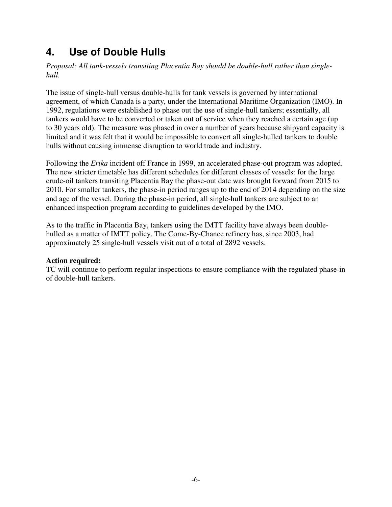# <span id="page-8-0"></span>**4. Use of Double Hulls**

*Proposal: All tank-vessels transiting Placentia Bay should be double-hull rather than singlehull.* 

The issue of single-hull versus double-hulls for tank vessels is governed by international agreement, of which Canada is a party, under the International Maritime Organization (IMO). In 1992, regulations were established to phase out the use of single-hull tankers; essentially, all tankers would have to be converted or taken out of service when they reached a certain age (up to 30 years old). The measure was phased in over a number of years because shipyard capacity is limited and it was felt that it would be impossible to convert all single-hulled tankers to double hulls without causing immense disruption to world trade and industry.

Following the *Erika* incident off France in 1999, an accelerated phase-out program was adopted. The new stricter timetable has different schedules for different classes of vessels: for the large crude-oil tankers transiting Placentia Bay the phase-out date was brought forward from 2015 to 2010. For smaller tankers, the phase-in period ranges up to the end of 2014 depending on the size and age of the vessel. During the phase-in period, all single-hull tankers are subject to an enhanced inspection program according to guidelines developed by the IMO.

As to the traffic in Placentia Bay, tankers using the IMTT facility have always been doublehulled as a matter of IMTT policy. The Come-By-Chance refinery has, since 2003, had approximately 25 single-hull vessels visit out of a total of 2892 vessels.

### **Action required:**

TC will continue to perform regular inspections to ensure compliance with the regulated phase-in of double-hull tankers.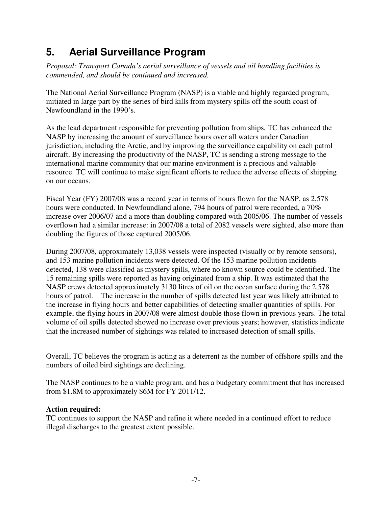# <span id="page-9-0"></span>**5. Aerial Surveillance Program**

*Proposal: Transport Canada's aerial surveillance of vessels and oil handling facilities is commended, and should be continued and increased.* 

The National Aerial Surveillance Program (NASP) is a viable and highly regarded program, initiated in large part by the series of bird kills from mystery spills off the south coast of Newfoundland in the 1990's.

As the lead department responsible for preventing pollution from ships, TC has enhanced the NASP by increasing the amount of surveillance hours over all waters under Canadian jurisdiction, including the Arctic, and by improving the surveillance capability on each patrol aircraft. By increasing the productivity of the NASP, TC is sending a strong message to the international marine community that our marine environment is a precious and valuable resource. TC will continue to make significant efforts to reduce the adverse effects of shipping on our oceans.

Fiscal Year (FY) 2007/08 was a record year in terms of hours flown for the NASP, as 2,578 hours were conducted. In Newfoundland alone, 794 hours of patrol were recorded, a 70% increase over 2006/07 and a more than doubling compared with 2005/06. The number of vessels overflown had a similar increase: in 2007/08 a total of 2082 vessels were sighted, also more than doubling the figures of those captured 2005/06.

During 2007/08, approximately 13,038 vessels were inspected (visually or by remote sensors), and 153 marine pollution incidents were detected. Of the 153 marine pollution incidents detected, 138 were classified as mystery spills, where no known source could be identified. The 15 remaining spills were reported as having originated from a ship. It was estimated that the NASP crews detected approximately 3130 litres of oil on the ocean surface during the 2,578 hours of patrol. The increase in the number of spills detected last year was likely attributed to the increase in flying hours and better capabilities of detecting smaller quantities of spills. For example, the flying hours in 2007/08 were almost double those flown in previous years. The total volume of oil spills detected showed no increase over previous years; however, statistics indicate that the increased number of sightings was related to increased detection of small spills.

Overall, TC believes the program is acting as a deterrent as the number of offshore spills and the numbers of oiled bird sightings are declining.

The NASP continues to be a viable program, and has a budgetary commitment that has increased from \$1.8M to approximately \$6M for FY 2011/12.

## **Action required:**

TC continues to support the NASP and refine it where needed in a continued effort to reduce illegal discharges to the greatest extent possible.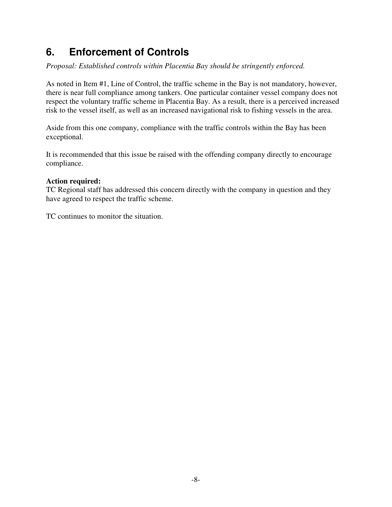# <span id="page-10-0"></span>**6. Enforcement of Controls**

*Proposal: Established controls within Placentia Bay should be stringently enforced.* 

As noted in Item #1, Line of Control, the traffic scheme in the Bay is not mandatory, however, there is near full compliance among tankers. One particular container vessel company does not respect the voluntary traffic scheme in Placentia Bay. As a result, there is a perceived increased risk to the vessel itself, as well as an increased navigational risk to fishing vessels in the area.

Aside from this one company, compliance with the traffic controls within the Bay has been exceptional.

It is recommended that this issue be raised with the offending company directly to encourage compliance.

#### **Action required:**

TC Regional staff has addressed this concern directly with the company in question and they have agreed to respect the traffic scheme.

TC continues to monitor the situation.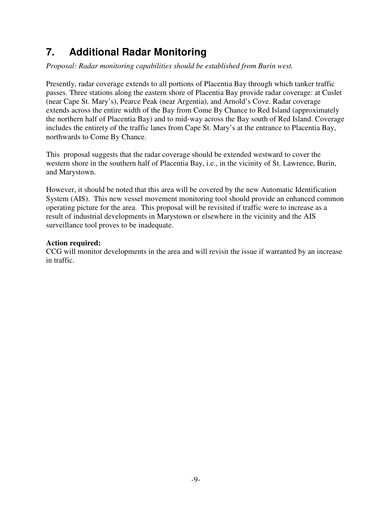# <span id="page-11-0"></span>**7. Additional Radar Monitoring**

*Proposal: Radar monitoring capabilities should be established from Burin west.* 

Presently, radar coverage extends to all portions of Placentia Bay through which tanker traffic passes. Three stations along the eastern shore of Placentia Bay provide radar coverage: at Cuslet (near Cape St. Mary's), Pearce Peak (near Argentia), and Arnold's Cove. Radar coverage extends across the entire width of the Bay from Come By Chance to Red Island (approximately the northern half of Placentia Bay) and to mid-way across the Bay south of Red Island. Coverage includes the entirety of the traffic lanes from Cape St. Mary's at the entrance to Placentia Bay, northwards to Come By Chance.

This proposal suggests that the radar coverage should be extended westward to cover the western shore in the southern half of Placentia Bay, i.e., in the vicinity of St. Lawrence, Burin, and Marystown.

However, it should be noted that this area will be covered by the new Automatic Identification System (AIS). This new vessel movement monitoring tool should provide an enhanced common operating picture for the area. This proposal will be revisited if traffic were to increase as a result of industrial developments in Marystown or elsewhere in the vicinity and the AIS surveillance tool proves to be inadequate.

## **Action required:**

CCG will monitor developments in the area and will revisit the issue if warranted by an increase in traffic.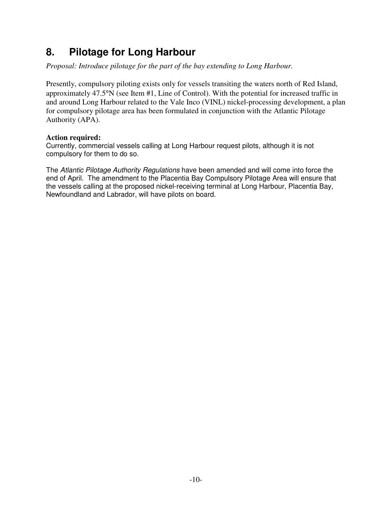## <span id="page-12-0"></span>**8. Pilotage for Long Harbour**

*Proposal: Introduce pilotage for the part of the bay extending to Long Harbour.* 

Presently, compulsory piloting exists only for vessels transiting the waters north of Red Island, approximately 47.5°N (see Item #1, Line of Control). With the potential for increased traffic in and around Long Harbour related to the Vale Inco (VINL) nickel-processing development, a plan for compulsory pilotage area has been formulated in conjunction with the Atlantic Pilotage Authority (APA).

### **Action required:**

Currently, commercial vessels calling at Long Harbour request pilots, although it is not compulsory for them to do so.

The Atlantic Pilotage Authority Regulations have been amended and will come into force the end of April. The amendment to the Placentia Bay Compulsory Pilotage Area will ensure that the vessels calling at the proposed nickel-receiving terminal at Long Harbour, Placentia Bay, Newfoundland and Labrador, will have pilots on board.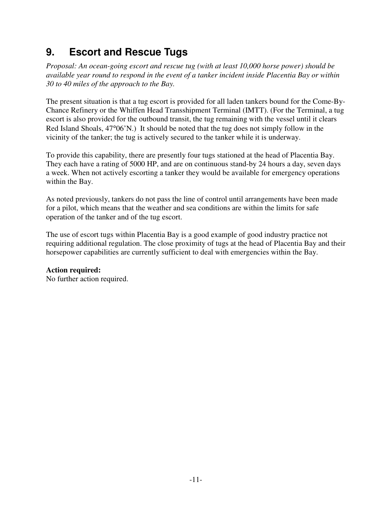# <span id="page-13-0"></span>**9. Escort and Rescue Tugs**

*Proposal: An ocean-going escort and rescue tug (with at least 10,000 horse power) should be available year round to respond in the event of a tanker incident inside Placentia Bay or within 30 to 40 miles of the approach to the Bay.* 

The present situation is that a tug escort is provided for all laden tankers bound for the Come-By-Chance Refinery or the Whiffen Head Transshipment Terminal (IMTT). (For the Terminal, a tug escort is also provided for the outbound transit, the tug remaining with the vessel until it clears Red Island Shoals, 47°06'N.) It should be noted that the tug does not simply follow in the vicinity of the tanker; the tug is actively secured to the tanker while it is underway.

To provide this capability, there are presently four tugs stationed at the head of Placentia Bay. They each have a rating of 5000 HP, and are on continuous stand-by 24 hours a day, seven days a week. When not actively escorting a tanker they would be available for emergency operations within the Bay.

As noted previously, tankers do not pass the line of control until arrangements have been made for a pilot, which means that the weather and sea conditions are within the limits for safe operation of the tanker and of the tug escort.

The use of escort tugs within Placentia Bay is a good example of good industry practice not requiring additional regulation. The close proximity of tugs at the head of Placentia Bay and their horsepower capabilities are currently sufficient to deal with emergencies within the Bay.

## **Action required:**

No further action required.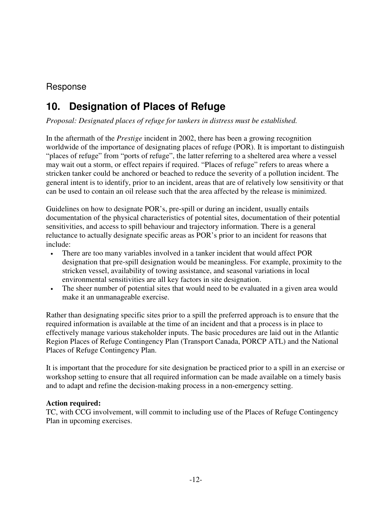## <span id="page-14-0"></span>Response

# **10. Designation of Places of Refuge**

*Proposal: Designated places of refuge for tankers in distress must be established.* 

In the aftermath of the *Prestige* incident in 2002, there has been a growing recognition worldwide of the importance of designating places of refuge (POR). It is important to distinguish "places of refuge" from "ports of refuge", the latter referring to a sheltered area where a vessel may wait out a storm, or effect repairs if required. "Places of refuge" refers to areas where a stricken tanker could be anchored or beached to reduce the severity of a pollution incident. The general intent is to identify, prior to an incident, areas that are of relatively low sensitivity or that can be used to contain an oil release such that the area affected by the release is minimized.

Guidelines on how to designate POR's, pre-spill or during an incident, usually entails documentation of the physical characteristics of potential sites, documentation of their potential sensitivities, and access to spill behaviour and trajectory information. There is a general reluctance to actually designate specific areas as POR's prior to an incident for reasons that include:

- There are too many variables involved in a tanker incident that would affect POR designation that pre-spill designation would be meaningless. For example, proximity to the stricken vessel, availability of towing assistance, and seasonal variations in local environmental sensitivities are all key factors in site designation.
- The sheer number of potential sites that would need to be evaluated in a given area would make it an unmanageable exercise.

Rather than designating specific sites prior to a spill the preferred approach is to ensure that the required information is available at the time of an incident and that a process is in place to effectively manage various stakeholder inputs. The basic procedures are laid out in the Atlantic Region Places of Refuge Contingency Plan (Transport Canada, PORCP ATL) and the National Places of Refuge Contingency Plan.

It is important that the procedure for site designation be practiced prior to a spill in an exercise or workshop setting to ensure that all required information can be made available on a timely basis and to adapt and refine the decision-making process in a non-emergency setting.

### **Action required:**

TC, with CCG involvement, will commit to including use of the Places of Refuge Contingency Plan in upcoming exercises.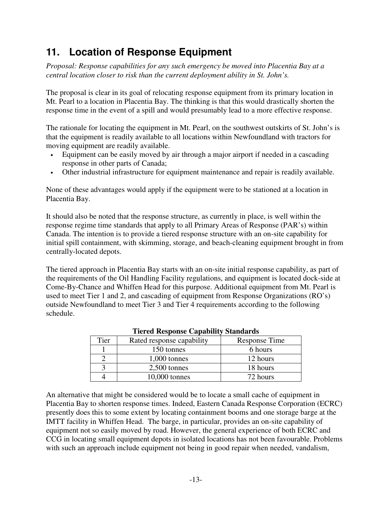# <span id="page-15-0"></span>**11. Location of Response Equipment**

*Proposal: Response capabilities for any such emergency be moved into Placentia Bay at a central location closer to risk than the current deployment ability in St. John's.* 

The proposal is clear in its goal of relocating response equipment from its primary location in Mt. Pearl to a location in Placentia Bay. The thinking is that this would drastically shorten the response time in the event of a spill and would presumably lead to a more effective response.

The rationale for locating the equipment in Mt. Pearl, on the southwest outskirts of St. John's is that the equipment is readily available to all locations within Newfoundland with tractors for moving equipment are readily available.

- Equipment can be easily moved by air through a major airport if needed in a cascading response in other parts of Canada;
- Other industrial infrastructure for equipment maintenance and repair is readily available.

None of these advantages would apply if the equipment were to be stationed at a location in Placentia Bay.

It should also be noted that the response structure, as currently in place, is well within the response regime time standards that apply to all Primary Areas of Response (PAR's) within Canada. The intention is to provide a tiered response structure with an on-site capability for initial spill containment, with skimming, storage, and beach-cleaning equipment brought in from centrally-located depots.

The tiered approach in Placentia Bay starts with an on-site initial response capability, as part of the requirements of the Oil Handling Facility regulations, and equipment is located dock-side at Come-By-Chance and Whiffen Head for this purpose. Additional equipment from Mt. Pearl is used to meet Tier 1 and 2, and cascading of equipment from Response Organizations (RO's) outside Newfoundland to meet Tier 3 and Tier 4 requirements according to the following schedule.

| Thereu Response Capability Standarus |                           |               |  |  |
|--------------------------------------|---------------------------|---------------|--|--|
| Tier                                 | Rated response capability | Response Time |  |  |
|                                      | 150 tonnes                | 6 hours       |  |  |
|                                      | $1,000$ tonnes            | 12 hours      |  |  |
|                                      | $2,500$ tonnes            | 18 hours      |  |  |
|                                      | $10,000$ tonnes           | 72 hours      |  |  |

### **Tiered Response Capability Standards**

An alternative that might be considered would be to locate a small cache of equipment in Placentia Bay to shorten response times. Indeed, Eastern Canada Response Corporation (ECRC) presently does this to some extent by locating containment booms and one storage barge at the IMTT facility in Whiffen Head. The barge, in particular, provides an on-site capability of equipment not so easily moved by road. However, the general experience of both ECRC and CCG in locating small equipment depots in isolated locations has not been favourable. Problems with such an approach include equipment not being in good repair when needed, vandalism,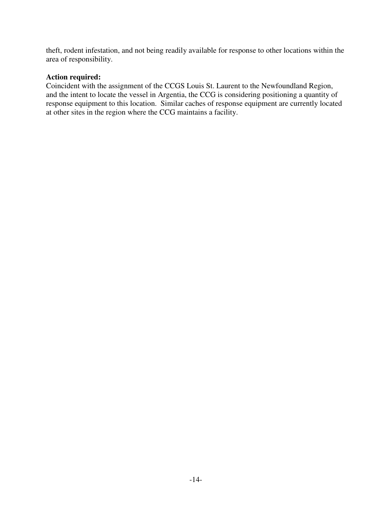theft, rodent infestation, and not being readily available for response to other locations within the area of responsibility.

### **Action required:**

Coincident with the assignment of the CCGS Louis St. Laurent to the Newfoundland Region, and the intent to locate the vessel in Argentia, the CCG is considering positioning a quantity of response equipment to this location. Similar caches of response equipment are currently located at other sites in the region where the CCG maintains a facility.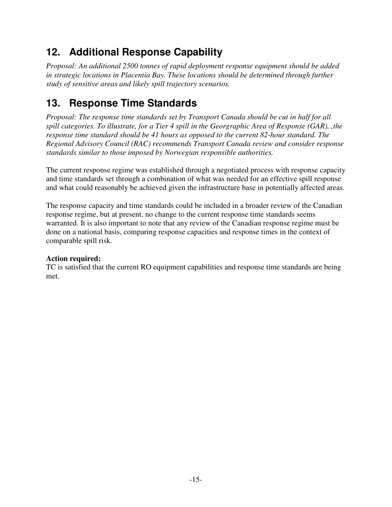# <span id="page-17-0"></span>**12. Additional Response Capability**

*Proposal: An additional 2500 tonnes of rapid deployment response equipment should be added in strategic locations in Placentia Bay. These locations should be determined through further study of sensitive areas and likely spill trajectory scenarios.* 

# **13. Response Time Standards**

*Proposal: The response time standards set by Transport Canada should be cut in half for all spill categories. To illustrate, for a Tier 4 spill in the Georgraphic Area of Response (GAR), ,the response time standard should be 41 hours as opposed to the current 82-hour standard. The Regional Advisory Council (RAC) recommends Transport Canada review and consider response standards similar to those imposed by Norwegian responsible authorities.* 

The current response regime was established through a negotiated process with response capacity and time standards set through a combination of what was needed for an effective spill response and what could reasonably be achieved given the infrastructure base in potentially affected areas.

The response capacity and time standards could be included in a broader review of the Canadian response regime, but at present, no change to the current response time standards seems warranted. It is also important to note that any review of the Canadian response regime must be done on a national basis, comparing response capacities and response times in the context of comparable spill risk.

## **Action required:**

TC is satisfied that the current RO equipment capabilities and response time standards are being met.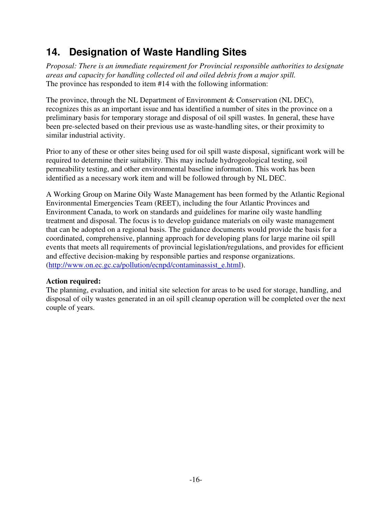# <span id="page-18-0"></span>**14. Designation of Waste Handling Sites**

*Proposal: There is an immediate requirement for Provincial responsible authorities to designate areas and capacity for handling collected oil and oiled debris from a major spill.*  The province has responded to item #14 with the following information:

The province, through the NL Department of Environment & Conservation (NL DEC), recognizes this as an important issue and has identified a number of sites in the province on a preliminary basis for temporary storage and disposal of oil spill wastes. In general, these have been pre-selected based on their previous use as waste-handling sites, or their proximity to similar industrial activity.

Prior to any of these or other sites being used for oil spill waste disposal, significant work will be required to determine their suitability. This may include hydrogeological testing, soil permeability testing, and other environmental baseline information. This work has been identified as a necessary work item and will be followed through by NL DEC.

A Working Group on Marine Oily Waste Management has been formed by the Atlantic Regional Environmental Emergencies Team (REET), including the four Atlantic Provinces and Environment Canada, to work on standards and guidelines for marine oily waste handling treatment and disposal. The focus is to develop guidance materials on oily waste management that can be adopted on a regional basis. The guidance documents would provide the basis for a coordinated, comprehensive, planning approach for developing plans for large marine oil spill events that meets all requirements of provincial legislation/regulations, and provides for efficient and effective decision-making by responsible parties and response organizations. (http://www.on.ec.gc.ca/pollution/ecnpd/contaminassist\_e.html).

## **Action required:**

The planning, evaluation, and initial site selection for areas to be used for storage, handling, and disposal of oily wastes generated in an oil spill cleanup operation will be completed over the next couple of years.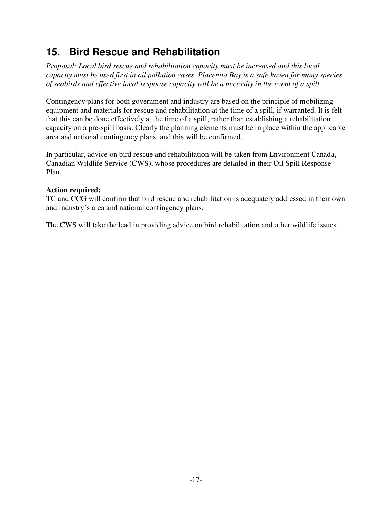# <span id="page-19-0"></span>**15. Bird Rescue and Rehabilitation**

*Proposal: Local bird rescue and rehabilitation capacity must be increased and this local capacity must be used first in oil pollution cases. Placentia Bay is a safe haven for many species of seabirds and effective local response capacity will be a necessity in the event of a spill.* 

Contingency plans for both government and industry are based on the principle of mobilizing equipment and materials for rescue and rehabilitation at the time of a spill, if warranted. It is felt that this can be done effectively at the time of a spill, rather than establishing a rehabilitation capacity on a pre-spill basis. Clearly the planning elements must be in place within the applicable area and national contingency plans, and this will be confirmed.

In particular, advice on bird rescue and rehabilitation will be taken from Environment Canada, Canadian Wildlife Service (CWS), whose procedures are detailed in their Oil Spill Response Plan.

## **Action required:**

TC and CCG will confirm that bird rescue and rehabilitation is adequately addressed in their own and industry's area and national contingency plans.

The CWS will take the lead in providing advice on bird rehabilitation and other wildlife issues.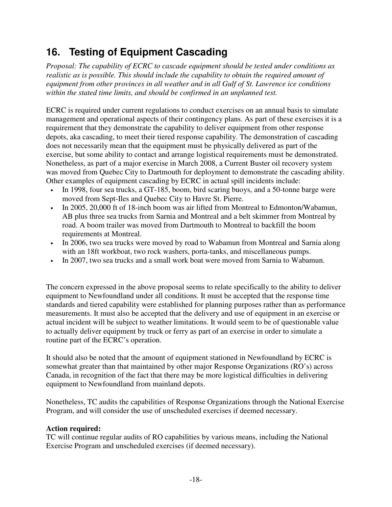# <span id="page-20-0"></span>**16. Testing of Equipment Cascading**

*Proposal: The capability of ECRC to cascade equipment should be tested under conditions as realistic as is possible. This should include the capability to obtain the required amount of equipment from other provinces in all weather and in all Gulf of St. Lawrence ice conditions within the stated time limits, and should be confirmed in an unplanned test.* 

ECRC is required under current regulations to conduct exercises on an annual basis to simulate management and operational aspects of their contingency plans. As part of these exercises it is a requirement that they demonstrate the capability to deliver equipment from other response depots, aka cascading, to meet their tiered response capability. The demonstration of cascading does not necessarily mean that the equipment must be physically delivered as part of the exercise, but some ability to contact and arrange logistical requirements must be demonstrated. Nonetheless, as part of a major exercise in March 2008, a Current Buster oil recovery system was moved from Quebec City to Dartmouth for deployment to demonstrate the cascading ability. Other examples of equipment cascading by ECRC in actual spill incidents include:

- In 1998, four sea trucks, a GT-185, boom, bird scaring buoys, and a 50-tonne barge were moved from Sept-Iles and Quebec City to Havre St. Pierre.
- In 2005, 20,000 ft of 18-inch boom was air lifted from Montreal to Edmonton/Wabamun, AB plus three sea trucks from Sarnia and Montreal and a belt skimmer from Montreal by road. A boom trailer was moved from Dartmouth to Montreal to backfill the boom requirements at Montreal.
- In 2006, two sea trucks were moved by road to Wabamun from Montreal and Sarnia along with an 18ft workboat, two rock washers, porta-tanks, and miscellaneous pumps.
- In 2007, two sea trucks and a small work boat were moved from Sarnia to Wabamun.

The concern expressed in the above proposal seems to relate specifically to the ability to deliver equipment to Newfoundland under all conditions. It must be accepted that the response time standards and tiered capability were established for planning purposes rather than as performance measurements. It must also be accepted that the delivery and use of equipment in an exercise or actual incident will be subject to weather limitations. It would seem to be of questionable value to actually deliver equipment by truck or ferry as part of an exercise in order to simulate a routine part of the ECRC's operation.

It should also be noted that the amount of equipment stationed in Newfoundland by ECRC is somewhat greater than that maintained by other major Response Organizations (RO's) across Canada, in recognition of the fact that there may be more logistical difficulties in delivering equipment to Newfoundland from mainland depots.

Nonetheless, TC audits the capabilities of Response Organizations through the National Exercise Program, and will consider the use of unscheduled exercises if deemed necessary.

### **Action required:**

TC will continue regular audits of RO capabilities by various means, including the National Exercise Program and unscheduled exercises (if deemed necessary).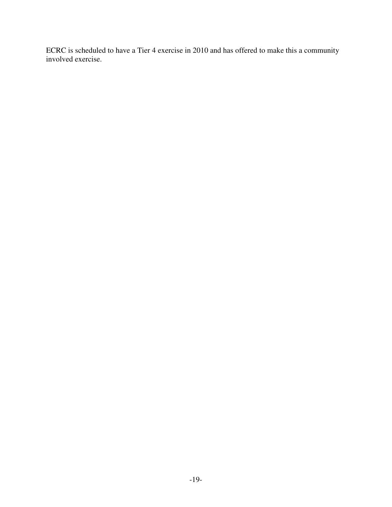ECRC is scheduled to have a Tier 4 exercise in 2010 and has offered to make this a community involved exercise.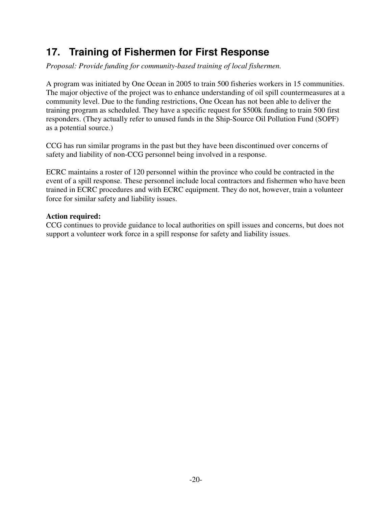## <span id="page-22-0"></span>**17. Training of Fishermen for First Response**

*Proposal: Provide funding for community-based training of local fishermen.* 

A program was initiated by One Ocean in 2005 to train 500 fisheries workers in 15 communities. The major objective of the project was to enhance understanding of oil spill countermeasures at a community level. Due to the funding restrictions, One Ocean has not been able to deliver the training program as scheduled. They have a specific request for \$500k funding to train 500 first responders. (They actually refer to unused funds in the Ship-Source Oil Pollution Fund (SOPF) as a potential source.)

CCG has run similar programs in the past but they have been discontinued over concerns of safety and liability of non-CCG personnel being involved in a response.

ECRC maintains a roster of 120 personnel within the province who could be contracted in the event of a spill response. These personnel include local contractors and fishermen who have been trained in ECRC procedures and with ECRC equipment. They do not, however, train a volunteer force for similar safety and liability issues.

### **Action required:**

CCG continues to provide guidance to local authorities on spill issues and concerns, but does not support a volunteer work force in a spill response for safety and liability issues.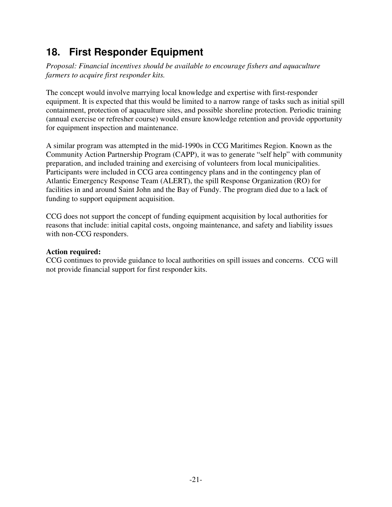# <span id="page-23-0"></span>**18. First Responder Equipment**

*Proposal: Financial incentives should be available to encourage fishers and aquaculture farmers to acquire first responder kits.*

The concept would involve marrying local knowledge and expertise with first-responder equipment. It is expected that this would be limited to a narrow range of tasks such as initial spill containment, protection of aquaculture sites, and possible shoreline protection. Periodic training (annual exercise or refresher course) would ensure knowledge retention and provide opportunity for equipment inspection and maintenance.

A similar program was attempted in the mid-1990s in CCG Maritimes Region. Known as the Community Action Partnership Program (CAPP), it was to generate "self help" with community preparation, and included training and exercising of volunteers from local municipalities. Participants were included in CCG area contingency plans and in the contingency plan of Atlantic Emergency Response Team (ALERT), the spill Response Organization (RO) for facilities in and around Saint John and the Bay of Fundy. The program died due to a lack of funding to support equipment acquisition.

CCG does not support the concept of funding equipment acquisition by local authorities for reasons that include: initial capital costs, ongoing maintenance, and safety and liability issues with non-CCG responders.

#### **Action required:**

CCG continues to provide guidance to local authorities on spill issues and concerns. CCG will not provide financial support for first responder kits.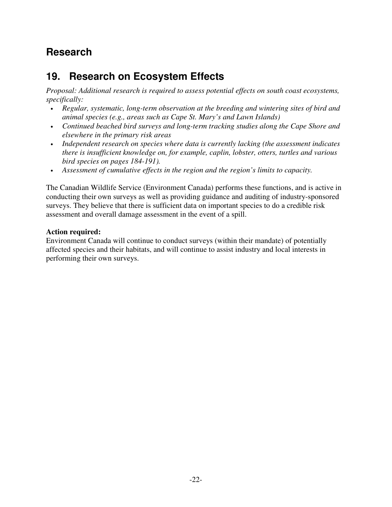## <span id="page-24-0"></span>**Research**

# **19. Research on Ecosystem Effects**

*Proposal: Additional research is required to assess potential effects on south coast ecosystems, specifically:* 

- *Regular, systematic, long-term observation at the breeding and wintering sites of bird and animal species (e.g., areas such as Cape St. Mary's and Lawn Islands)*
- *Continued beached bird surveys and long-term tracking studies along the Cape Shore and elsewhere in the primary risk areas*
- *Independent research on species where data is currently lacking (the assessment indicates there is insufficient knowledge on, for example, caplin, lobster, otters, turtles and various bird species on pages 184-191).*
- *Assessment of cumulative effects in the region and the region's limits to capacity.*

The Canadian Wildlife Service (Environment Canada) performs these functions, and is active in conducting their own surveys as well as providing guidance and auditing of industry-sponsored surveys. They believe that there is sufficient data on important species to do a credible risk assessment and overall damage assessment in the event of a spill.

## **Action required:**

Environment Canada will continue to conduct surveys (within their mandate) of potentially affected species and their habitats, and will continue to assist industry and local interests in performing their own surveys.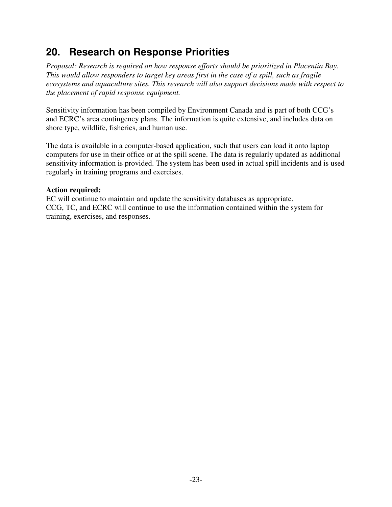## <span id="page-25-0"></span>**20. Research on Response Priorities**

*Proposal: Research is required on how response efforts should be prioritized in Placentia Bay. This would allow responders to target key areas first in the case of a spill, such as fragile ecosystems and aquaculture sites. This research will also support decisions made with respect to the placement of rapid response equipment.* 

Sensitivity information has been compiled by Environment Canada and is part of both CCG's and ECRC's area contingency plans. The information is quite extensive, and includes data on shore type, wildlife, fisheries, and human use.

The data is available in a computer-based application, such that users can load it onto laptop computers for use in their office or at the spill scene. The data is regularly updated as additional sensitivity information is provided. The system has been used in actual spill incidents and is used regularly in training programs and exercises.

### **Action required:**

EC will continue to maintain and update the sensitivity databases as appropriate. CCG, TC, and ECRC will continue to use the information contained within the system for training, exercises, and responses.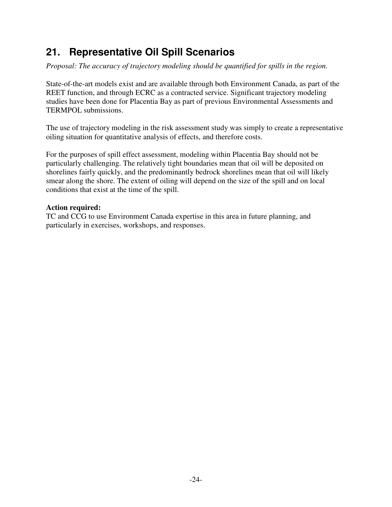## <span id="page-26-0"></span>**21. Representative Oil Spill Scenarios**

*Proposal: The accuracy of trajectory modeling should be quantified for spills in the region.* 

State-of-the-art models exist and are available through both Environment Canada, as part of the REET function, and through ECRC as a contracted service. Significant trajectory modeling studies have been done for Placentia Bay as part of previous Environmental Assessments and TERMPOL submissions.

The use of trajectory modeling in the risk assessment study was simply to create a representative oiling situation for quantitative analysis of effects, and therefore costs.

For the purposes of spill effect assessment, modeling within Placentia Bay should not be particularly challenging. The relatively tight boundaries mean that oil will be deposited on shorelines fairly quickly, and the predominantly bedrock shorelines mean that oil will likely smear along the shore. The extent of oiling will depend on the size of the spill and on local conditions that exist at the time of the spill.

### **Action required:**

TC and CCG to use Environment Canada expertise in this area in future planning, and particularly in exercises, workshops, and responses.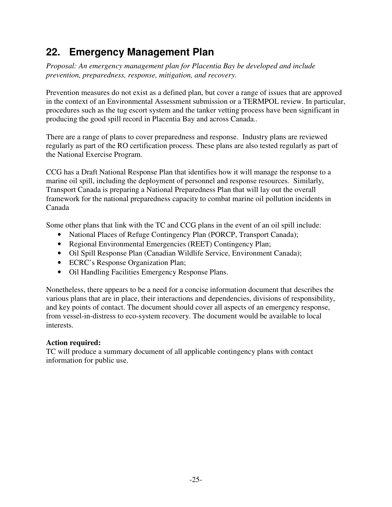# <span id="page-27-0"></span>**22. Emergency Management Plan**

*Proposal: An emergency management plan for Placentia Bay be developed and include prevention, preparedness, response, mitigation, and recovery.* 

Prevention measures do not exist as a defined plan, but cover a range of issues that are approved in the context of an Environmental Assessment submission or a TERMPOL review. In particular, procedures such as the tug escort system and the tanker vetting process have been significant in producing the good spill record in Placentia Bay and across Canada..

There are a range of plans to cover preparedness and response. Industry plans are reviewed regularly as part of the RO certification process. These plans are also tested regularly as part of the National Exercise Program.

CCG has a Draft National Response Plan that identifies how it will manage the response to a marine oil spill, including the deployment of personnel and response resources. Similarly, Transport Canada is preparing a National Preparedness Plan that will lay out the overall framework for the national preparedness capacity to combat marine oil pollution incidents in Canada

Some other plans that link with the TC and CCG plans in the event of an oil spill include:

- National Places of Refuge Contingency Plan (PORCP, Transport Canada);
- Regional Environmental Emergencies (REET) Contingency Plan;
- Oil Spill Response Plan (Canadian Wildlife Service, Environment Canada);
- ECRC's Response Organization Plan;
- Oil Handling Facilities Emergency Response Plans.

Nonetheless, there appears to be a need for a concise information document that describes the various plans that are in place, their interactions and dependencies, divisions of responsibility, and key points of contact. The document should cover all aspects of an emergency response, from vessel-in-distress to eco-system recovery. The document would be available to local interests.

### **Action required:**

TC will produce a summary document of all applicable contingency plans with contact information for public use.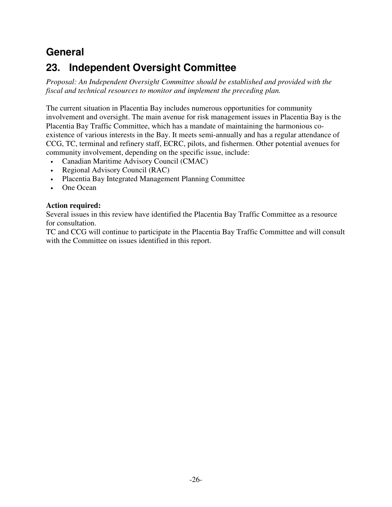## <span id="page-28-0"></span>**General**

# **23. Independent Oversight Committee**

*Proposal: An Independent Oversight Committee should be established and provided with the fiscal and technical resources to monitor and implement the preceding plan.* 

The current situation in Placentia Bay includes numerous opportunities for community involvement and oversight. The main avenue for risk management issues in Placentia Bay is the Placentia Bay Traffic Committee, which has a mandate of maintaining the harmonious coexistence of various interests in the Bay. It meets semi-annually and has a regular attendance of CCG, TC, terminal and refinery staff, ECRC, pilots, and fishermen. Other potential avenues for community involvement, depending on the specific issue, include:

- Canadian Maritime Advisory Council (CMAC)
- Regional Advisory Council (RAC)
- Placentia Bay Integrated Management Planning Committee
- One Ocean

## **Action required:**

Several issues in this review have identified the Placentia Bay Traffic Committee as a resource for consultation.

TC and CCG will continue to participate in the Placentia Bay Traffic Committee and will consult with the Committee on issues identified in this report.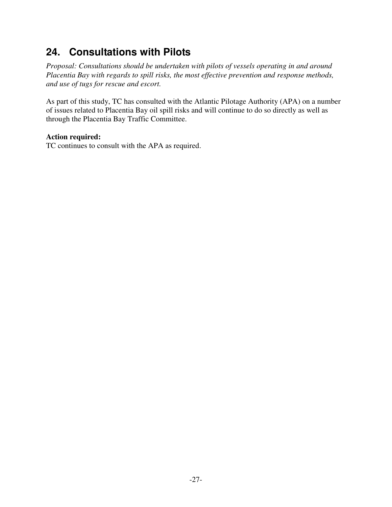## <span id="page-29-0"></span>**24. Consultations with Pilots**

*Proposal: Consultations should be undertaken with pilots of vessels operating in and around Placentia Bay with regards to spill risks, the most effective prevention and response methods, and use of tugs for rescue and escort.* 

As part of this study, TC has consulted with the Atlantic Pilotage Authority (APA) on a number of issues related to Placentia Bay oil spill risks and will continue to do so directly as well as through the Placentia Bay Traffic Committee.

### **Action required:**

TC continues to consult with the APA as required.